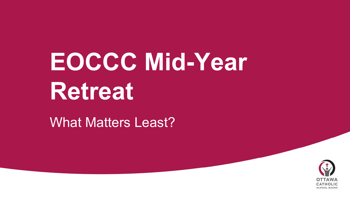# **EOCCC Mid-Year Retreat**

#### What Matters Least?

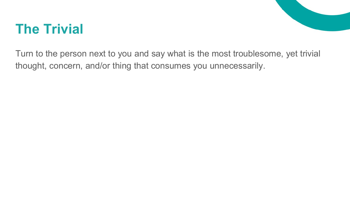### **The Trivial**



Turn to the person next to you and say what is the most troublesome, yet trivial thought, concern, and/or thing that consumes you unnecessarily.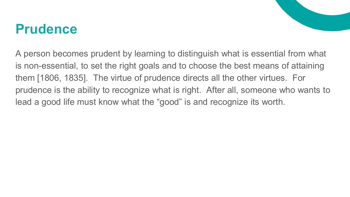#### **Prudence**

A person becomes prudent by learning to distinguish what is essential from what is non-essential, to set the right goals and to choose the best means of attaining them [1806, 1835]. The virtue of prudence directs all the other virtues. For prudence is the ability to recognize what is right. After all, someone who wants to lead a good life must know what the "good" is and recognize its worth.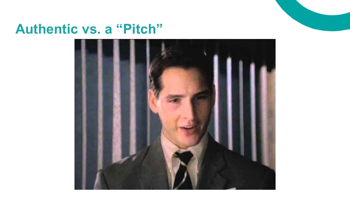

#### **Authentic vs. a "Pitch"**

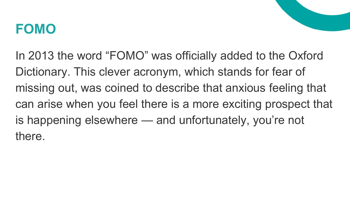#### **FOMO**

In 2013 the word "FOMO" was officially added to the Oxford Dictionary. This clever acronym, which stands for fear of missing out, was coined to describe that anxious feeling that can arise when you feel there is a more exciting prospect that is happening elsewhere — and unfortunately, you're not there.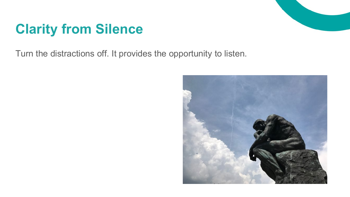## **Clarity from Silence**

Turn the distractions off. It provides the opportunity to listen.

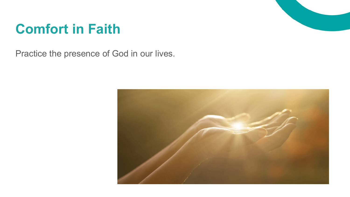

### **Comfort in Faith**

Practice the presence of God in our lives.

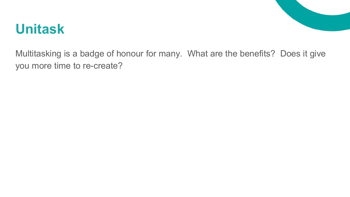

#### **Unitask**

Multitasking is a badge of honour for many. What are the benefits? Does it give you more time to re-create?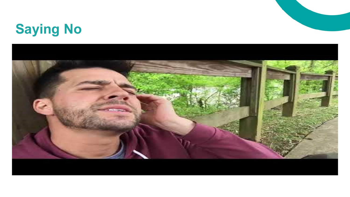# **Saying No**

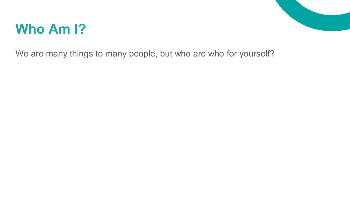### **Who Am I?**

We are many things to many people, but who are who for yourself?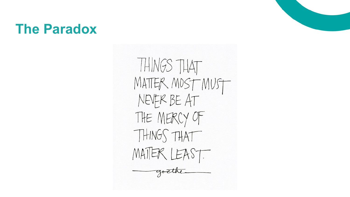#### **The Paradox**

THINGS THAT MATTER MOST MUST NEVER BE AT THE MERCY OF THINGS THAT MATTER LEAST.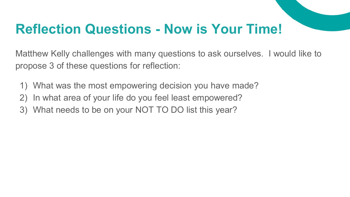### **Reflection Questions - Now is Your Time!**

Matthew Kelly challenges with many questions to ask ourselves. I would like to propose 3 of these questions for reflection:

- 1) What was the most empowering decision you have made?
- 2) In what area of your life do you feel least empowered?
- 3) What needs to be on your NOT TO DO list this year?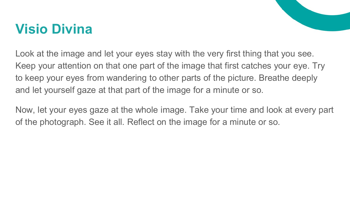### **Visio Divina**



Now, let your eyes gaze at the whole image. Take your time and look at every part of the photograph. See it all. Reflect on the image for a minute or so.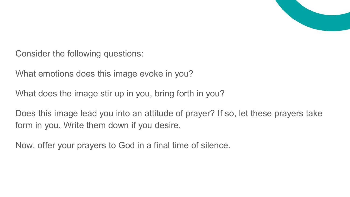

Consider the following questions:

What emotions does this image evoke in you?

What does the image stir up in you, bring forth in you?

Does this image lead you into an attitude of prayer? If so, let these prayers take form in you. Write them down if you desire.

Now, offer your prayers to God in a final time of silence.